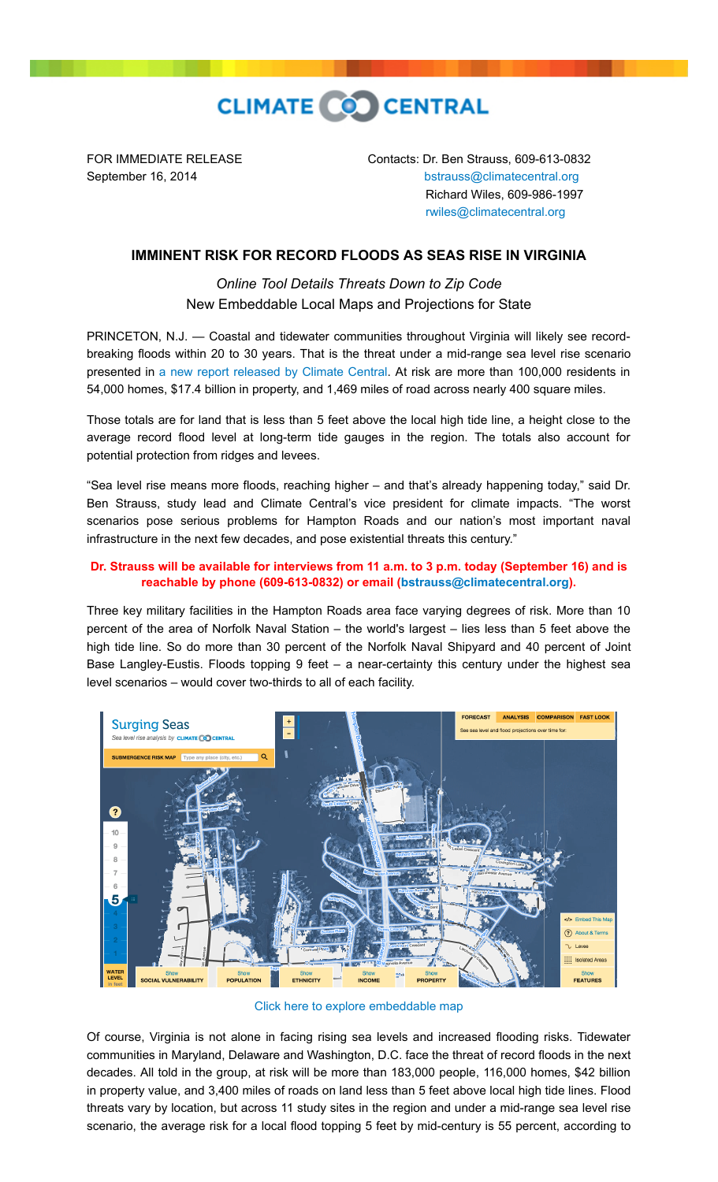

FOR IMMEDIATE RELEASE Contacts: Dr. Ben Strauss, 609-613-0832 September 16, 2014 **[bstrauss@climatecentral.org](mailto:bstrauss@climatecentral.org)**  Richard Wiles, 609-986-1997 [rwiles@climatecentral.org](mailto:rwiles@climatecentral.org)

## **IMMINENT RISK FOR RECORD FLOODS AS SEAS RISE IN VIRGINIA**

*Online Tool Details Threats Down to Zip Code* New Embeddable Local Maps and Projections for State

PRINCETON, N.J. — Coastal and tidewater communities throughout Virginia will likely see recordbreaking floods within 20 to 30 years. That is the threat under a mid-range sea level rise scenario presented in [a new report released by Climate Central.](http://sealevel.climatecentral.org/ssrf/virginia) At risk are more than 100,000 residents in 54,000 homes, \$17.4 billion in property, and 1,469 miles of road across nearly 400 square miles.

Those totals are for land that is less than 5 feet above the local high tide line, a height close to the average record flood level at long-term tide gauges in the region. The totals also account for potential protection from ridges and levees.

"Sea level rise means more floods, reaching higher – and that's already happening today," said Dr. Ben Strauss, study lead and Climate Central's vice president for climate impacts. "The worst scenarios pose serious problems for Hampton Roads and our nation's most important naval infrastructure in the next few decades, and pose existential threats this century."

## **Dr. Strauss will be available for interviews from 11 a.m. to 3 p.m. today (September 16) and is reachable by phone (609-613-0832) or email [\(bstrauss@climatecentral.org](mailto:bstrauss@climatecentral.org)).**

Three key military facilities in the Hampton Roads area face varying degrees of risk. More than 10 percent of the area of Norfolk Naval Station – the world's largest – lies less than 5 feet above the high tide line. So do more than 30 percent of the Norfolk Naval Shipyard and 40 percent of Joint Base Langley-Eustis. Floods topping 9 feet – a near-certainty this century under the highest sea level scenarios – would cover two-thirds to all of each facility.



[Click here to explore embeddable map](http://ss2.climatecentral.org/#16/36.8998/-76.3043?show=satellite&level=5&pois=hide)

Of course, Virginia is not alone in facing rising sea levels and increased flooding risks. Tidewater communities in Maryland, Delaware and Washington, D.C. face the threat of record floods in the next decades. All told in the group, at risk will be more than 183,000 people, 116,000 homes, \$42 billion in property value, and 3,400 miles of roads on land less than 5 feet above local high tide lines. Flood threats vary by location, but across 11 study sites in the region and under a mid-range sea level rise scenario, the average risk for a local flood topping 5 feet by mid-century is 55 percent, according to